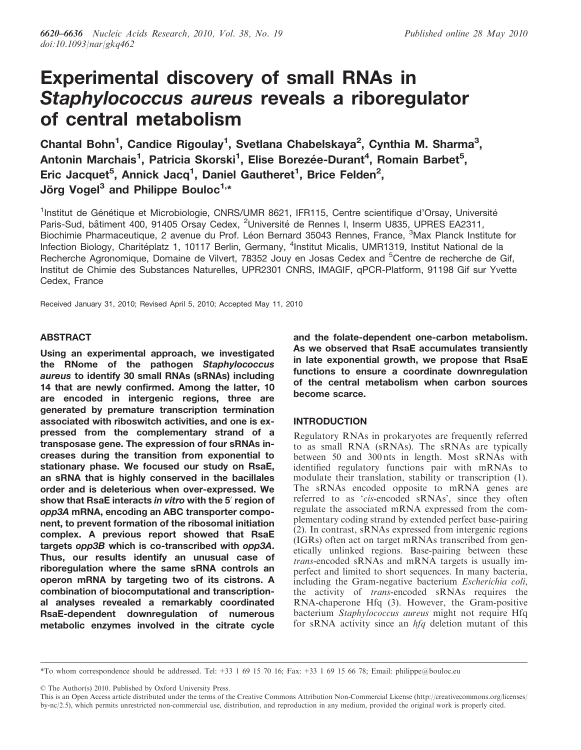# Experimental discovery of small RNAs in Staphylococcus aureus reveals a riboregulator of central metabolism

Chantal Bohn<sup>1</sup>, Candice Rigoulay<sup>1</sup>, Svetlana Chabelskaya<sup>2</sup>, Cynthia M. Sharma<sup>3</sup>, Antonin Marchais<sup>1</sup>, Patricia Skorski<sup>1</sup>, Elise Borezée-Durant<sup>4</sup>, Romain Barbet<sup>5</sup>, Eric Jacquet<sup>5</sup>, Annick Jacq<sup>1</sup>, Daniel Gautheret<sup>1</sup>, Brice Felden<sup>2</sup>, Jörg Vogel<sup>3</sup> and Philippe Bouloc<sup>1,\*</sup>

<sup>1</sup>Institut de Génétique et Microbiologie, CNRS/UMR 8621, IFR115, Centre scientifique d'Orsay, Université Paris-Sud, bâtiment 400, 91405 Orsay Cedex, <sup>2</sup>Université de Rennes I, Inserm U835, UPRES EA2311, Biochimie Pharmaceutique, 2 avenue du Prof. Léon Bernard 35043 Rennes, France, <sup>3</sup>Max Planck Institute for Infection Biology, Charitéplatz 1, 10117 Berlin, Germany, <sup>4</sup>Institut Micalis, UMR1319, Institut National de la Recherche Agronomique, Domaine de Vilvert, 78352 Jouy en Josas Cedex and <sup>5</sup>Centre de recherche de Gif, Institut de Chimie des Substances Naturelles, UPR2301 CNRS, IMAGIF, qPCR-Platform, 91198 Gif sur Yvette Cedex, France

Received January 31, 2010; Revised April 5, 2010; Accepted May 11, 2010

# ABSTRACT

Using an experimental approach, we investigated the RNome of the pathogen Staphylococcus aureus to identify 30 small RNAs (sRNAs) including 14 that are newly confirmed. Among the latter, 10 are encoded in intergenic regions, three are generated by premature transcription termination associated with riboswitch activities, and one is expressed from the complementary strand of a transposase gene. The expression of four sRNAs increases during the transition from exponential to stationary phase. We focused our study on RsaE, an sRNA that is highly conserved in the bacillales order and is deleterious when over-expressed. We show that RsaE interacts in vitro with the 5' region of opp3A mRNA, encoding an ABC transporter component, to prevent formation of the ribosomal initiation complex. A previous report showed that RsaE targets opp3B which is co-transcribed with opp3A. Thus, our results identify an unusual case of riboregulation where the same sRNA controls an operon mRNA by targeting two of its cistrons. A combination of biocomputational and transcriptional analyses revealed a remarkably coordinated RsaE-dependent downregulation of numerous metabolic enzymes involved in the citrate cycle and the folate-dependent one-carbon metabolism. As we observed that RsaE accumulates transiently in late exponential growth, we propose that RsaE functions to ensure a coordinate downregulation of the central metabolism when carbon sources become scarce.

# INTRODUCTION

Regulatory RNAs in prokaryotes are frequently referred to as small RNA (sRNAs). The sRNAs are typically between 50 and 300 nts in length. Most sRNAs with identified regulatory functions pair with mRNAs to modulate their translation, stability or transcription (1). The sRNAs encoded opposite to mRNA genes are referred to as 'cis-encoded sRNAs', since they often regulate the associated mRNA expressed from the complementary coding strand by extended perfect base-pairing (2). In contrast, sRNAs expressed from intergenic regions (IGRs) often act on target mRNAs transcribed from genetically unlinked regions. Base-pairing between these trans-encoded sRNAs and mRNA targets is usually imperfect and limited to short sequences. In many bacteria, including the Gram-negative bacterium Escherichia coli, the activity of trans-encoded sRNAs requires the RNA-chaperone Hfq (3). However, the Gram-positive bacterium Staphylococcus aureus might not require Hfq for sRNA activity since an  $h f q$  deletion mutant of this

© The Author(s) 2010. Published by Oxford University Press.

<sup>\*</sup>To whom correspondence should be addressed. Tel: +33 1 69 15 70 16; Fax: +33 1 69 15 66 78; Email: philippe@bouloc.eu

This is an Open Access article distributed under the terms of the Creative Commons Attribution Non-Commercial License [\(http://creativecommons.org/licenses/](http://creativecommons.org/licenses/) by-nc/2.5), which permits unrestricted non-commercial use, distribution, and reproduction in any medium, provided the original work is properly cited.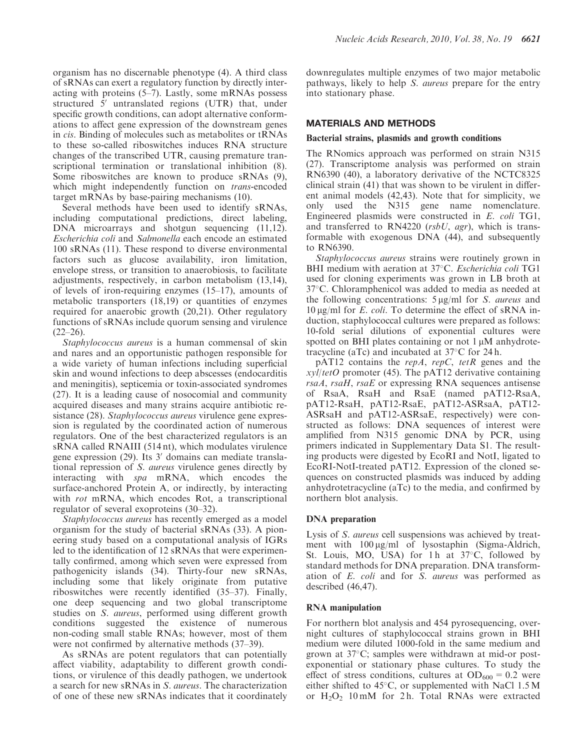organism has no discernable phenotype (4). A third class of sRNAs can exert a regulatory function by directly interacting with proteins (5–7). Lastly, some mRNAs possess structured  $\bar{5}$  untranslated regions (UTR) that, under specific growth conditions, can adopt alternative conformations to affect gene expression of the downstream genes in cis. Binding of molecules such as metabolites or tRNAs to these so-called riboswitches induces RNA structure changes of the transcribed UTR, causing premature transcriptional termination or translational inhibition (8). Some riboswitches are known to produce sRNAs (9), which might independently function on *trans*-encoded target mRNAs by base-pairing mechanisms (10).

Several methods have been used to identify sRNAs, including computational predictions, direct labeling, DNA microarrays and shotgun sequencing (11,12). Escherichia coli and Salmonella each encode an estimated 100 sRNAs (11). These respond to diverse environmental factors such as glucose availability, iron limitation, envelope stress, or transition to anaerobiosis, to facilitate adjustments, respectively, in carbon metabolism (13,14), of levels of iron-requiring enzymes (15–17), amounts of metabolic transporters (18,19) or quantities of enzymes required for anaerobic growth (20,21). Other regulatory functions of sRNAs include quorum sensing and virulence  $(22–26)$ .

Staphylococcus aureus is a human commensal of skin and nares and an opportunistic pathogen responsible for a wide variety of human infections including superficial skin and wound infections to deep abscesses (endocarditis and meningitis), septicemia or toxin-associated syndromes (27). It is a leading cause of nosocomial and community acquired diseases and many strains acquire antibiotic resistance (28). Staphylococcus aureus virulence gene expression is regulated by the coordinated action of numerous regulators. One of the best characterized regulators is an sRNA called RNAIII (514 nt), which modulates virulence gene expression  $(29)$ . Its 3' domains can mediate translational repression of S. aureus virulence genes directly by interacting with spa mRNA, which encodes the surface-anchored Protein A, or indirectly, by interacting with *rot* mRNA, which encodes Rot, a transcriptional regulator of several exoproteins (30–32).

Staphylococcus aureus has recently emerged as a model organism for the study of bacterial sRNAs (33). A pioneering study based on a computational analysis of IGRs led to the identification of 12 sRNAs that were experimentally confirmed, among which seven were expressed from pathogenicity islands (34). Thirty-four new sRNAs, including some that likely originate from putative riboswitches were recently identified (35–37). Finally, one deep sequencing and two global transcriptome studies on S. aureus, performed using different growth conditions suggested the existence of numerous non-coding small stable RNAs; however, most of them were not confirmed by alternative methods (37–39).

As sRNAs are potent regulators that can potentially affect viability, adaptability to different growth conditions, or virulence of this deadly pathogen, we undertook a search for new sRNAs in S. aureus. The characterization of one of these new sRNAs indicates that it coordinately downregulates multiple enzymes of two major metabolic pathways, likely to help S. aureus prepare for the entry into stationary phase.

# MATERIALS AND METHODS

# Bacterial strains, plasmids and growth conditions

The RNomics approach was performed on strain N315 (27). Transcriptome analysis was performed on strain RN6390 (40), a laboratory derivative of the NCTC8325 clinical strain (41) that was shown to be virulent in different animal models (42,43). Note that for simplicity, we only used the N315 gene name nomenclature. Engineered plasmids were constructed in E. coli TG1, and transferred to RN4220 ( $rsbU$ ,  $agr$ ), which is transformable with exogenous DNA (44), and subsequently to RN6390.

Staphylococcus aureus strains were routinely grown in BHI medium with aeration at 37°C. Escherichia coli TG1 used for cloning experiments was grown in LB broth at 37°C. Chloramphenicol was added to media as needed at the following concentrations:  $5 \mu g/ml$  for S. *aureus* and  $10 \mu g/ml$  for *E. coli.* To determine the effect of sRNA induction, staphylococcal cultures were prepared as follows: 10-fold serial dilutions of exponential cultures were spotted on BHI plates containing or not  $1 \mu$ M anhydrotetracycline (aTc) and incubated at  $37^{\circ}$ C for 24 h.

 $pAT12$  contains the *repA*, *repC*, *tetR* genes and the  $x$ yl/tetO promoter (45). The pAT12 derivative containing rsaA, rsaH, rsaE or expressing RNA sequences antisense of RsaA, RsaH and RsaE (named pAT12-RsaA, pAT12-RsaH, pAT12-RsaE, pAT12-ASRsaA, pAT12- ASRsaH and pAT12-ASRsaE, respectively) were constructed as follows: DNA sequences of interest were amplified from N315 genomic DNA by PCR, using primers indicated in Supplementary Data S1. The resulting products were digested by EcoRI and NotI, ligated to EcoRI-NotI-treated pAT12. Expression of the cloned sequences on constructed plasmids was induced by adding anhydrotetracycline (aTc) to the media, and confirmed by northern blot analysis.

# DNA preparation

Lysis of S. aureus cell suspensions was achieved by treatment with  $100 \mu g/ml$  of lysostaphin (Sigma-Aldrich, St. Louis, MO, USA) for 1h at 37°C, followed by standard methods for DNA preparation. DNA transformation of E. coli and for S. aureus was performed as described (46,47).

# RNA manipulation

For northern blot analysis and 454 pyrosequencing, overnight cultures of staphylococcal strains grown in BHI medium were diluted 1000-fold in the same medium and grown at 37°C; samples were withdrawn at mid-or postexponential or stationary phase cultures. To study the effect of stress conditions, cultures at  $OD_{600} = 0.2$  were either shifted to  $45^{\circ}$ C, or supplemented with NaCl 1.5 M or  $H_2O_2$  10 mM for 2h. Total RNAs were extracted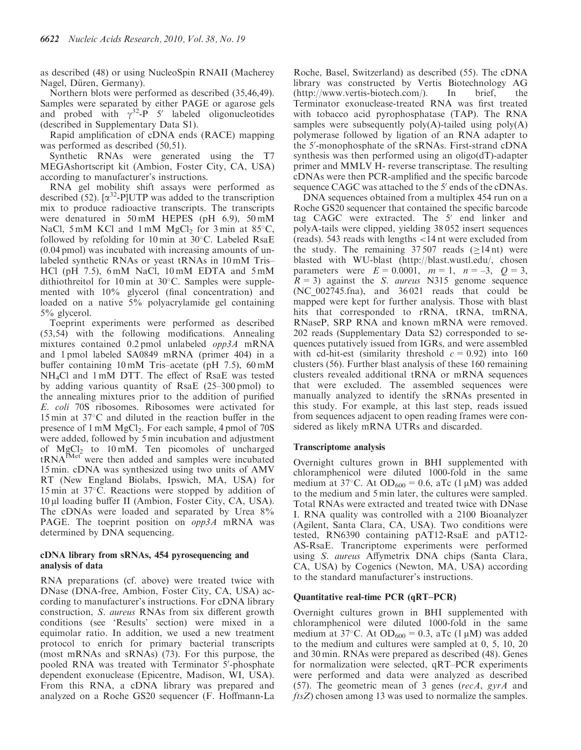as described (48) or using NucleoSpin RNAII (Macherey Nagel, Düren, Germany).

Northern blots were performed as described (35,46,49). Samples were separated by either PAGE or agarose gels and probed with  $\gamma^{32}$ -P 5' labeled oligonucleotides (described in Supplementary Data S1).

Rapid amplification of cDNA ends (RACE) mapping was performed as described  $(50,51)$ .

Synthetic RNAs were generated using the T7 MEGAshortscript kit (Ambion, Foster City, CA, USA) according to manufacturer's instructions.

RNA gel mobility shift assays were performed as described (52).  $\lbrack \alpha^{32} - P \rbrack \text{UTP}$  was added to the transcription mix to produce radioactive transcripts. The transcripts were denatured in 50 mM HEPES (pH 6.9), 50 mM NaCl, 5 mM KCl and 1 mM  $MgCl<sub>2</sub>$  for 3 min at 85 $^{\circ}$ C, followed by refolding for 10 min at 30°C. Labeled RsaE (0.04 pmol) was incubated with increasing amounts of unlabeled synthetic RNAs or yeast tRNAs in 10 mM Tris– HCl (pH 7.5), 6 mM NaCl, 10 mM EDTA and 5 mM dithiothreitol for 10 min at 30°C. Samples were supplemented with 10% glycerol (final concentration) and loaded on a native 5% polyacrylamide gel containing 5% glycerol.

Toeprint experiments were performed as described (53,54) with the following modifications. Annealing mixtures contained 0.2 pmol unlabeled opp3A mRNA and 1 pmol labeled SA0849 mRNA (primer 404) in a buffer containing 10 mM Tris–acetate (pH 7.5), 60 mM NH4Cl and 1 mM DTT. The effect of RsaE was tested by adding various quantity of RsaE (25–300 pmol) to the annealing mixtures prior to the addition of purified E. coli 70S ribosomes. Ribosomes were activated for 15 min at 37-C and diluted in the reaction buffer in the presence of  $1 \text{ mM } MgCl_2$ . For each sample,  $4 \text{ pmol }$  of  $70\text{S}$ were added, followed by 5 min incubation and adjustment of  $MgCl<sub>2</sub>$  to 10 mM. Ten picomoles of uncharged  $tRNA<sup>fMet</sup>$  were then added and samples were incubated 15 min. cDNA was synthesized using two units of AMV RT (New England Biolabs, Ipswich, MA, USA) for 15 min at 37-C. Reactions were stopped by addition of 10 μl loading buffer II (Ambion, Foster City, CA, USA). The cDNAs were loaded and separated by Urea 8% PAGE. The toeprint position on *opp3A* mRNA was determined by DNA sequencing.

# cDNA library from sRNAs, 454 pyrosequencing and analysis of data

RNA preparations (cf. above) were treated twice with DNase (DNA-free, Ambion, Foster City, CA, USA) according to manufacturer's instructions. For cDNA library construction, S. aureus RNAs from six different growth conditions (see 'Results' section) were mixed in a equimolar ratio. In addition, we used a new treatment protocol to enrich for primary bacterial transcripts (most mRNAs and sRNAs) (73). For this purpose, the pooled RNA was treated with Terminator 5'-phosphate dependent exonuclease (Epicentre, Madison, WI, USA). From this RNA, a cDNA library was prepared and analyzed on a Roche GS20 sequencer (F. Hoffmann-La

Roche, Basel, Switzerland) as described (55). The cDNA library was constructed by Vertis Biotechnology AG ([http://www.vertis-biotech.com](http://www.vertis-biotech.com/)/). In brief, the Terminator exonuclease-treated RNA was first treated with tobacco acid pyrophosphatase (TAP). The RNA samples were subsequently  $poly(A)$ -tailed using  $poly(A)$ polymerase followed by ligation of an RNA adapter to the 5'-monophosphate of the sRNAs. First-strand cDNA synthesis was then performed using an oligo(dT)-adapter primer and MMLV H- reverse transcriptase. The resulting cDNAs were then PCR-amplified and the specific barcode sequence CAGC was attached to the 5' ends of the cDNAs.

DNA sequences obtained from a multiplex 454 run on a Roche GS20 sequencer that contained the specific barcode tag CAGC were extracted. The  $5'$  end linker and polyA-tails were clipped, yielding 38 052 insert sequences (reads). 543 reads with lengths <14 nt were excluded from the study. The remaining  $37,507$  reads ( $>14$  nt) were blasted with WU-blast ([http://blast.wustl.edu/,](http://blast.wustl.edu/) chosen parameters were  $E = 0.0001$ ,  $m = 1$ ,  $n = -3$ ,  $Q = 3$ ,  $R = 3$ ) against the *S. aureus* N315 genome sequence (NC $002745$ .fna), and  $36021$  reads that could be mapped were kept for further analysis. Those with blast hits that corresponded to rRNA, tRNA, tmRNA, RNaseP, SRP RNA and known mRNA were removed. 202 reads (Supplementary Data S2) corresponded to sequences putatively issued from IGRs, and were assembled with cd-hit-est (similarity threshold  $c = 0.92$ ) into 160 clusters (56). Further blast analysis of these 160 remaining clusters revealed additional tRNA or mRNA sequences that were excluded. The assembled sequences were manually analyzed to identify the sRNAs presented in this study. For example, at this last step, reads issued from sequences adjacent to open reading frames were considered as likely mRNA UTRs and discarded.

# Transcriptome analysis

Overnight cultures grown in BHI supplemented with chloramphenicol were diluted 1000-fold in the same medium at 37°C. At OD<sub>600</sub> = 0.6, aTc (1 $\mu$ M) was added to the medium and 5 min later, the cultures were sampled. Total RNAs were extracted and treated twice with DNase I. RNA quality was controlled with a 2100 Bioanalyzer (Agilent, Santa Clara, CA, USA). Two conditions were tested, RN6390 containing pAT12-RsaE and pAT12- AS-RsaE. Trancriptome experiments were performed using S. aureus Affymetrix DNA chips (Santa Clara, CA, USA) by Cogenics (Newton, MA, USA) according to the standard manufacturer's instructions.

# Quantitative real-time PCR (qRT–PCR)

Overnight cultures grown in BHI supplemented with chloramphenicol were diluted 1000-fold in the same medium at 37°C. At OD<sub>600</sub> = 0.3, aTc (1  $\mu$ M) was added to the medium and cultures were sampled at 0, 5, 10, 20 and 30 min. RNAs were prepared as described (48). Genes for normalization were selected, qRT–PCR experiments were performed and data were analyzed as described (57). The geometric mean of 3 genes (recA, gyrA and ftsZ) chosen among 13 was used to normalize the samples.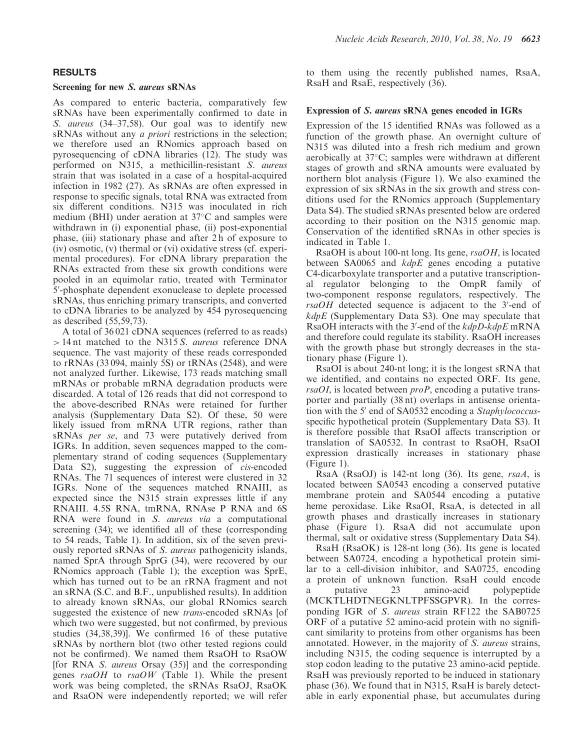# RESULTS

#### Screening for new S. aureus sRNAs

As compared to enteric bacteria, comparatively few sRNAs have been experimentally confirmed to date in S. aureus (34–37,58). Our goal was to identify new sRNAs without any *a priori* restrictions in the selection; we therefore used an RNomics approach based on pyrosequencing of cDNA libraries (12). The study was performed on N315, a methicillin-resistant S. aureus strain that was isolated in a case of a hospital-acquired infection in 1982 (27). As sRNAs are often expressed in response to specific signals, total RNA was extracted from six different conditions. N315 was inoculated in rich medium (BHI) under aeration at 37°C and samples were withdrawn in (i) exponential phase, (ii) post-exponential phase, (iii) stationary phase and after 2 h of exposure to (iv) osmotic, (v) thermal or (vi) oxidative stress (cf. experimental procedures). For cDNA library preparation the RNAs extracted from these six growth conditions were pooled in an equimolar ratio, treated with Terminator 5'-phosphate dependent exonuclease to deplete processed sRNAs, thus enriching primary transcripts, and converted to cDNA libraries to be analyzed by 454 pyrosequencing as described (55,59,73).

A total of 36 021 cDNA sequences (referred to as reads) > 14 nt matched to the N315 S. aureus reference DNA sequence. The vast majority of these reads corresponded to rRNAs (33 094, mainly 5S) or tRNAs (2548), and were not analyzed further. Likewise, 173 reads matching small mRNAs or probable mRNA degradation products were discarded. A total of 126 reads that did not correspond to the above-described RNAs were retained for further analysis (Supplementary Data S2). Of these, 50 were likely issued from mRNA UTR regions, rather than sRNAs per se, and 73 were putatively derived from IGRs. In addition, seven sequences mapped to the complementary strand of coding sequences (Supplementary Data S2), suggesting the expression of *cis*-encoded RNAs. The 71 sequences of interest were clustered in 32 IGRs. None of the sequences matched RNAIII, as expected since the N315 strain expresses little if any RNAIII. 4.5S RNA, tmRNA, RNAse P RNA and 6S RNA were found in S. aureus via a computational screening (34); we identified all of these (corresponding to 54 reads, Table 1). In addition, six of the seven previously reported sRNAs of S. aureus pathogenicity islands, named SprA through SprG (34), were recovered by our RNomics approach (Table 1); the exception was SprE, which has turned out to be an rRNA fragment and not an sRNA (S.C. and B.F., unpublished results). In addition to already known sRNAs, our global RNomics search suggested the existence of new *trans*-encoded sRNAs [of which two were suggested, but not confirmed, by previous studies (34,38,39)]. We confirmed 16 of these putative sRNAs by northern blot (two other tested regions could not be confirmed). We named them RsaOH to RsaOW [for RNA S. aureus Orsay (35)] and the corresponding genes  $rsaOH$  to  $rsaOW$  (Table 1). While the present work was being completed, the sRNAs RsaOJ, RsaOK and RsaON were independently reported; we will refer

to them using the recently published names, RsaA, RsaH and RsaE, respectively (36).

#### Expression of S. aureus sRNA genes encoded in IGRs

Expression of the 15 identified RNAs was followed as a function of the growth phase. An overnight culture of N315 was diluted into a fresh rich medium and grown aerobically at 37°C; samples were withdrawn at different stages of growth and sRNA amounts were evaluated by northern blot analysis (Figure 1). We also examined the expression of six sRNAs in the six growth and stress conditions used for the RNomics approach (Supplementary Data S4). The studied sRNAs presented below are ordered according to their position on the N315 genomic map. Conservation of the identified sRNAs in other species is indicated in Table 1.

RsaOH is about 100-nt long. Its gene, rsaOH, is located between SA0065 and kdpE genes encoding a putative C4-dicarboxylate transporter and a putative transcriptional regulator belonging to the OmpR family of two-component response regulators, respectively. The  $rsaOH$  detected sequence is adjacent to the  $3'-$ end of  $kdpE$  (Supplementary Data S3). One may speculate that RsaOH interacts with the 3'-end of the kdpD-kdpE mRNA and therefore could regulate its stability. RsaOH increases with the growth phase but strongly decreases in the stationary phase (Figure 1).

RsaOI is about 240-nt long; it is the longest sRNA that we identified, and contains no expected ORF. Its gene,  $rsaOI$ , is located between  $proP$ , encoding a putative transporter and partially (38 nt) overlaps in antisense orientation with the 5' end of SA0532 encoding a Staphylococcusspecific hypothetical protein (Supplementary Data S3). It is therefore possible that RsaOI affects transcription or translation of SA0532. In contrast to RsaOH, RsaOI expression drastically increases in stationary phase (Figure 1).

RsaA (RsaOJ) is 142-nt long (36). Its gene, rsaA, is located between SA0543 encoding a conserved putative membrane protein and SA0544 encoding a putative heme peroxidase. Like RsaOI, RsaA, is detected in all growth phases and drastically increases in stationary phase (Figure 1). RsaA did not accumulate upon thermal, salt or oxidative stress (Supplementary Data S4).

RsaH (RsaOK) is 128-nt long (36). Its gene is located between SA0724, encoding a hypothetical protein similar to a cell-division inhibitor, and SA0725, encoding a protein of unknown function. RsaH could encode a putative 23 amino-acid polypeptide (MCKTLHDTNEGKNLTPFSSGPVR). In the corresponding IGR of S. aureus strain RF122 the SAB0725 ORF of a putative 52 amino-acid protein with no significant similarity to proteins from other organisms has been annotated. However, in the majority of S. aureus strains, including N315, the coding sequence is interrupted by a stop codon leading to the putative 23 amino-acid peptide. RsaH was previously reported to be induced in stationary phase (36). We found that in N315, RsaH is barely detectable in early exponential phase, but accumulates during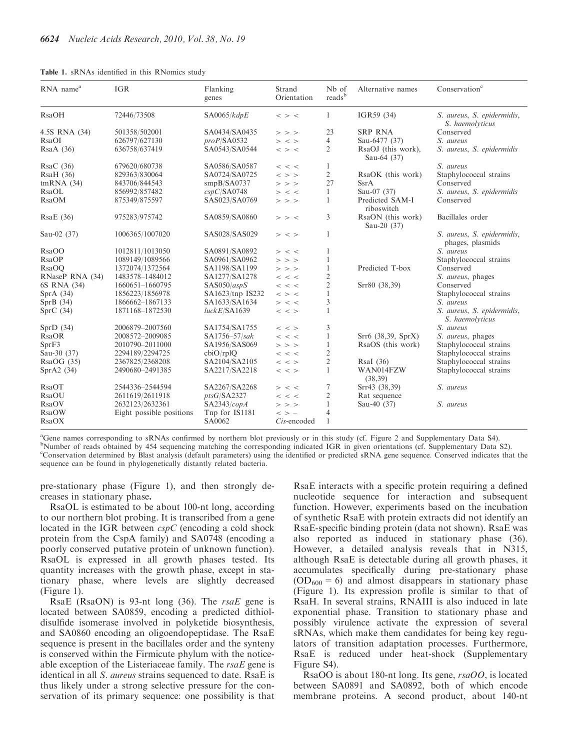|  |  |  |  |  |  | Table 1. sRNAs identified in this RNomics study |  |
|--|--|--|--|--|--|-------------------------------------------------|--|
|--|--|--|--|--|--|-------------------------------------------------|--|

| RNA name <sup>a</sup> | <b>IGR</b>               | Flanking<br>genes | Strand<br>Orientation            | N <sub>b</sub> of<br>reads <sup>b</sup> | Alternative names                 | Conservation <sup>c</sup>                      |
|-----------------------|--------------------------|-------------------|----------------------------------|-----------------------------------------|-----------------------------------|------------------------------------------------|
| <b>RsaOH</b>          | 72446/73508              | SA0065/kdpE       | $\,<\,>\,$ $\,<\,$               | 1                                       | IGR59 (34)                        | S. aureus, S. epidermidis,<br>S. haemolyticus  |
| 4.5S RNA (34)         | 501358/502001            | SA0434/SA0435     | $>$ > >                          | 23                                      | <b>SRP RNA</b>                    | Conserved                                      |
| RsaOI                 | 626797/627130            | proP/SA0532       | $>$ < >                          | 4                                       | Sau-6477 (37)                     | S. aureus                                      |
| $\text{RsaA}$ (36)    | 636758/637419            | SA0543/SA0544     | $\,<\,>\,$ $\,<\,$               | 2                                       | RsaOJ (this work),<br>Sau-64 (37) | S. aureus, S. epidermidis                      |
| RsaC(36)              | 679620/680738            | SA0586/SA0587     | $\,<\,$ $\,<\,$                  | 1                                       |                                   | S. aureus                                      |
| RsaH(36)              | 829363/830064            | SA0724/SA0725     | $\langle$ > >                    | $\overline{c}$                          | RsaOK (this work)                 | Staphylococcal strains                         |
| tmRNA(34)             | 843706/844543            | smpB/SA0737       | $>$ > >                          | 27                                      | <b>SsrA</b>                       | Conserved                                      |
| RsaOL                 | 856992/857482            | cspC/SA0748       | $>$ < <                          | 1                                       | Sau-07 (37)                       | S. aureus, S. epidermidis                      |
| <b>RsaOM</b>          | 875349/875597            | SAS023/SA0769     | $>$ > >                          | 1                                       | Predicted SAM-I<br>riboswitch     | Conserved                                      |
| RsaE(36)              | 975283/975742            | SA0859/SA0860     | $>$ > <                          | 3                                       | RsaON (this work)<br>Sau-20 (37)  | Bacillales order                               |
| Sau-02 (37)           | 1006365/1007020          | SAS028/SAS029     | $>$ < >                          | 1                                       |                                   | S. aureus, S. epidermidis,<br>phages, plasmids |
| <b>RsaOO</b>          | 1012811/1013050          | SA0891/SA0892     | $>$ < <                          | 1                                       |                                   | S. aureus                                      |
| <b>RsaOP</b>          | 1089149/1089566          | SA0961/SA0962     | $>$ > >                          | $\mathbf{1}$                            |                                   | Staphylococcal strains                         |
| <b>RsaOO</b>          | 1372074/1372564          | SA1198/SA1199     | $>$ > >                          | $\mathbf{1}$                            | Predicted T-box                   | Conserved                                      |
| RNaseP RNA (34)       | 1483578-1484012          | SA1277/SA1278     | $\,<\,$ $\,<\,$                  | 2                                       |                                   | S. aureus, phages                              |
| 6S RNA (34)           | 1660651-1660795          | SAS050/aspS       | $\,<\,$ $\,<\,$                  | $\overline{2}$                          | Srr80 (38,39)                     | Conserved                                      |
| Spr $A(34)$           | 1856223/1856978          | SA1623/tnp IS232  | $\langle$ > $\langle$            | 1                                       |                                   | Staphylococcal strains                         |
| SprB(34)              | 1866662-1867133          | SA1633/SA1634     | $>$ < <                          | 3                                       |                                   | S. aureus                                      |
| SprC(34)              | 1871168-1872530          | luckE/SA1639      | $\,<\,$ $\,<\,$                  | 1                                       |                                   | S. aureus, S. epidermidis,<br>S. haemolyticus  |
| SprD(34)              | 2006879-2007560          | SA1754/SA1755     | $\,<\,$ $\,<\,$                  | 3                                       |                                   | S. aureus                                      |
| <b>RsaOR</b>          | 2008572-2009085          | $SA1756 - 57/sak$ | $\,<\,$ $\,<\,$                  | 1                                       | Srr6 (38,39, SprX)                | S. <i>aureus</i> , phages                      |
| SprF3                 | 2010790-2011000          | SA1956/SAS069     | $>$ > >                          | $\mathbf{1}$                            | RsaOS (this work)                 | Staphylococcal strains                         |
| Sau-30 (37)           | 2294189/2294725          | cbiO/rplQ         | $\,<\,$ $\,<\,$                  | $\overline{2}$                          |                                   | Staphylococcal strains                         |
| RsaOG(35)             | 2367825/2368208          | SA2104/SA2105     | $\langle \ \ \times \ \ \rangle$ | $\mathfrak{2}$                          | RsaI (36)                         | Staphylococcal strains                         |
| Spr $A2(34)$          | 2490680-2491385          | SA2217/SA2218     | $\,<\,$ $\,$                     | $\mathbf{1}$                            | WAN014FZW<br>(38, 39)             | Staphylococcal strains                         |
| RsaOT                 | 2544336-2544594          | SA2267/SA2268     | $>$ < <                          | 7                                       | Srr43 (38,39)                     | S. aureus                                      |
| <b>RsaOU</b>          | 2611619/2611918          | ptsG/SA2327       | $\,<\,$ $\,<\,$                  | $\overline{2}$                          | Rat sequence                      |                                                |
| RsaOV                 | 2632123/2632361          | SA2343/copA       | $>$ > >                          | $\mathbf{1}$                            | Sau-40 (37)                       | S. aureus                                      |
| <b>RsaOW</b>          | Eight possible positions | Tnp for IS1181    | $\langle \rangle$ > -            | $\overline{4}$                          |                                   |                                                |
| <b>RsaOX</b>          |                          | SA0062            | Cis-encoded                      | $\mathbf{1}$                            |                                   |                                                |

a Gene names corresponding to sRNAs confirmed by northern blot previously or in this study (cf. Figure 2 and Supplementary Data S4). <sup>b</sup>Number of reads obtained by 454 sequencing matching the corresponding indicated IGR in given orientations (cf. Supplementary Data S2). c Conservation determined by Blast analysis (default parameters) using the identified or predicted sRNA gene sequence. Conserved indicates that the sequence can be found in phylogenetically distantly related bacteria.

pre-stationary phase (Figure 1), and then strongly decreases in stationary phase.

RsaOL is estimated to be about 100-nt long, according to our northern blot probing. It is transcribed from a gene located in the IGR between cspC (encoding a cold shock protein from the CspA family) and SA0748 (encoding a poorly conserved putative protein of unknown function). RsaOL is expressed in all growth phases tested. Its quantity increases with the growth phase, except in stationary phase, where levels are slightly decreased (Figure 1).

RsaE (RsaON) is 93-nt long (36). The rsaE gene is located between SA0859, encoding a predicted dithioldisulfide isomerase involved in polyketide biosynthesis, and SA0860 encoding an oligoendopeptidase. The RsaE sequence is present in the bacillales order and the synteny is conserved within the Firmicute phylum with the noticeable exception of the Listeriaceae family. The  $rsaE$  gene is identical in all *S. aureus* strains sequenced to date. RsaE is thus likely under a strong selective pressure for the conservation of its primary sequence: one possibility is that

RsaE interacts with a specific protein requiring a defined nucleotide sequence for interaction and subsequent function. However, experiments based on the incubation of synthetic RsaE with protein extracts did not identify an RsaE-specific binding protein (data not shown). RsaE was also reported as induced in stationary phase (36). However, a detailed analysis reveals that in N315, although RsaE is detectable during all growth phases, it accumulates specifically during pre-stationary phase  $(OD<sub>600</sub> = 6)$  and almost disappears in stationary phase (Figure 1). Its expression profile is similar to that of RsaH. In several strains, RNAIII is also induced in late exponential phase. Transition to stationary phase and possibly virulence activate the expression of several sRNAs, which make them candidates for being key regulators of transition adaptation processes. Furthermore, RsaE is reduced under heat-shock (Supplementary Figure S4).

RsaOO is about 180-nt long. Its gene, rsaOO, is located between SA0891 and SA0892, both of which encode membrane proteins. A second product, about 140-nt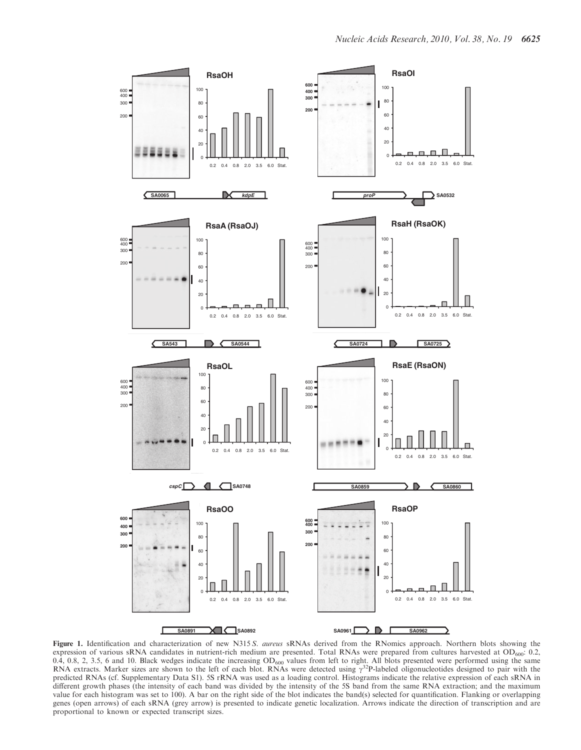

Figure 1. Identification and characterization of new N315 S. aureus sRNAs derived from the RNomics approach. Northern blots showing the expression of various sRNA candidates in nutrient-rich medium are presented. Total RNAs were prepared from cultures harvested at OD<sub>600</sub>: 0.2, 0.4, 0.8, 2, 3.5, 6 and 10. Black wedges indicate the increasing OD<sub>600</sub> values from left to right. All blots presented were performed using the same<br>RNA extracts. Marker sizes are shown to the left of each blot. RNAs wer predicted RNAs (cf. Supplementary Data S1). 5S rRNA was used as a loading control. Histograms indicate the relative expression of each sRNA in different growth phases (the intensity of each band was divided by the intensity of the 5S band from the same RNA extraction; and the maximum value for each histogram was set to 100). A bar on the right side of the blot indicates the band(s) selected for quantification. Flanking or overlapping genes (open arrows) of each sRNA (grey arrow) is presented to indicate genetic localization. Arrows indicate the direction of transcription and are proportional to known or expected transcript sizes.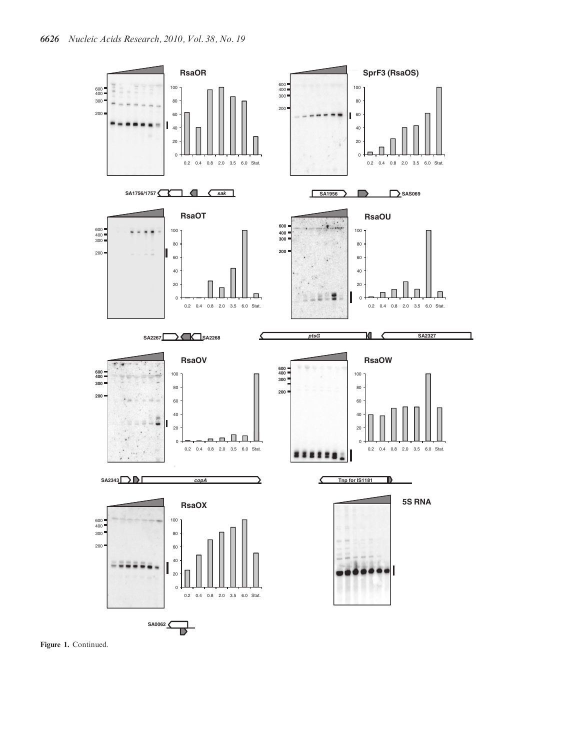

Figure 1. Continued.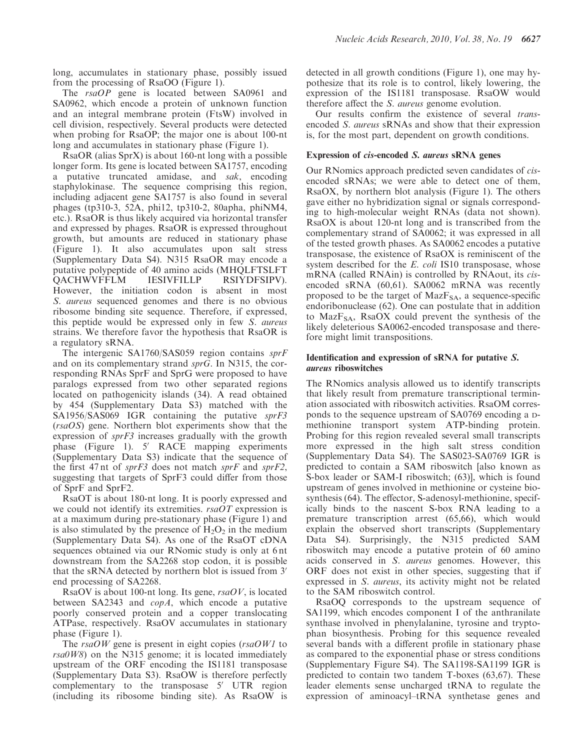long, accumulates in stationary phase, possibly issued from the processing of RsaOO (Figure 1).

The rsaOP gene is located between SA0961 and SA0962, which encode a protein of unknown function and an integral membrane protein (FtsW) involved in cell division, respectively. Several products were detected when probing for RsaOP; the major one is about 100-nt long and accumulates in stationary phase (Figure 1).

RsaOR (alias SprX) is about 160-nt long with a possible longer form. Its gene is located between SA1757, encoding a putative truncated amidase, and sak, encoding staphylokinase. The sequence comprising this region, including adjacent gene SA1757 is also found in several phages (tp310-3, 52A, phi12, tp310-2, 80apha, phiNM4, etc.). RsaOR is thus likely acquired via horizontal transfer and expressed by phages. RsaOR is expressed throughout growth, but amounts are reduced in stationary phase (Figure 1). It also accumulates upon salt stress (Supplementary Data S4). N315 RsaOR may encode a putative polypeptide of 40 amino acids (MHQLFTSLFT QACHWVFFLM IESIVFILLP RSIYDFSIPV). However, the initiation codon is absent in most S. aureus sequenced genomes and there is no obvious ribosome binding site sequence. Therefore, if expressed, this peptide would be expressed only in few S. aureus strains. We therefore favor the hypothesis that RsaOR is a regulatory sRNA.

The intergenic SA1760/SAS059 region contains sprF and on its complementary strand sprG. In N315, the corresponding RNAs SprF and SprG were proposed to have paralogs expressed from two other separated regions located on pathogenicity islands (34). A read obtained by 454 (Supplementary Data S3) matched with the SA1956/SAS069 IGR containing the putative sprF3 (rsaOS) gene. Northern blot experiments show that the expression of sprF3 increases gradually with the growth phase (Figure 1).  $5'$  RACE mapping experiments (Supplementary Data S3) indicate that the sequence of the first 47 nt of sprF3 does not match sprF and sprF2, suggesting that targets of SprF3 could differ from those of SprF and SprF2.

RsaOT is about 180-nt long. It is poorly expressed and we could not identify its extremities. rsaOT expression is at a maximum during pre-stationary phase (Figure 1) and is also stimulated by the presence of  $H_2O_2$  in the medium (Supplementary Data S4). As one of the RsaOT cDNA sequences obtained via our RNomic study is only at 6 nt downstream from the SA2268 stop codon, it is possible that the sRNA detected by northern blot is issued from  $3'$ end processing of SA2268.

RsaOV is about 100-nt long. Its gene,  $rsaOV$ , is located between SA2343 and copA, which encode a putative poorly conserved protein and a copper translocating ATPase, respectively. RsaOV accumulates in stationary phase (Figure 1).

The  $rsaOW$  gene is present in eight copies ( $rsaOW1$  to  $rsa0W8$ ) on the N315 genome; it is located immediately upstream of the ORF encoding the IS1181 transposase (Supplementary Data S3). RsaOW is therefore perfectly complementary to the transposase  $5'$  UTR region (including its ribosome binding site). As RsaOW is detected in all growth conditions (Figure 1), one may hypothesize that its role is to control, likely lowering, the expression of the IS1181 transposase. RsaOW would therefore affect the S. aureus genome evolution.

Our results confirm the existence of several transencoded S. aureus sRNAs and show that their expression is, for the most part, dependent on growth conditions.

# Expression of cis-encoded S. aureus sRNA genes

Our RNomics approach predicted seven candidates of cisencoded sRNAs; we were able to detect one of them, RsaOX, by northern blot analysis (Figure 1). The others gave either no hybridization signal or signals corresponding to high-molecular weight RNAs (data not shown). RsaOX is about 120-nt long and is transcribed from the complementary strand of SA0062; it was expressed in all of the tested growth phases. As SA0062 encodes a putative transposase, the existence of RsaOX is reminiscent of the system described for the E. coli IS10 transposase, whose mRNA (called RNAin) is controlled by RNAout, its cisencoded sRNA (60,61). SA0062 mRNA was recently proposed to be the target of  $MaxF<sub>SA</sub>$ , a sequence-specific endoribonuclease (62). One can postulate that in addition to  $\text{MazF}_{SA}$ , RsaOX could prevent the synthesis of the likely deleterious SA0062-encoded transposase and therefore might limit transpositions.

## Identification and expression of sRNA for putative S. aureus riboswitches

The RNomics analysis allowed us to identify transcripts that likely result from premature transcriptional termination associated with riboswitch activities. RsaOM corresponds to the sequence upstream of SA0769 encoding a Dmethionine transport system ATP-binding protein. Probing for this region revealed several small transcripts more expressed in the high salt stress condition (Supplementary Data S4). The SAS023-SA0769 IGR is predicted to contain a SAM riboswitch [also known as S-box leader or SAM-I riboswitch; (63)], which is found upstream of genes involved in methionine or cysteine biosynthesis (64). The effector, S-adenosyl-methionine, specifically binds to the nascent S-box RNA leading to a premature transcription arrest (65,66), which would explain the observed short transcripts (Supplementary Data S4). Surprisingly, the N315 predicted SAM riboswitch may encode a putative protein of 60 amino acids conserved in S. aureus genomes. However, this ORF does not exist in other species, suggesting that if expressed in S. aureus, its activity might not be related to the SAM riboswitch control.

RsaOQ corresponds to the upstream sequence of SA1199, which encodes component I of the anthranilate synthase involved in phenylalanine, tyrosine and tryptophan biosynthesis. Probing for this sequence revealed several bands with a different profile in stationary phase as compared to the exponential phase or stress conditions (Supplementary Figure S4). The SA1198-SA1199 IGR is predicted to contain two tandem T-boxes (63,67). These leader elements sense uncharged tRNA to regulate the expression of aminoacyl–tRNA synthetase genes and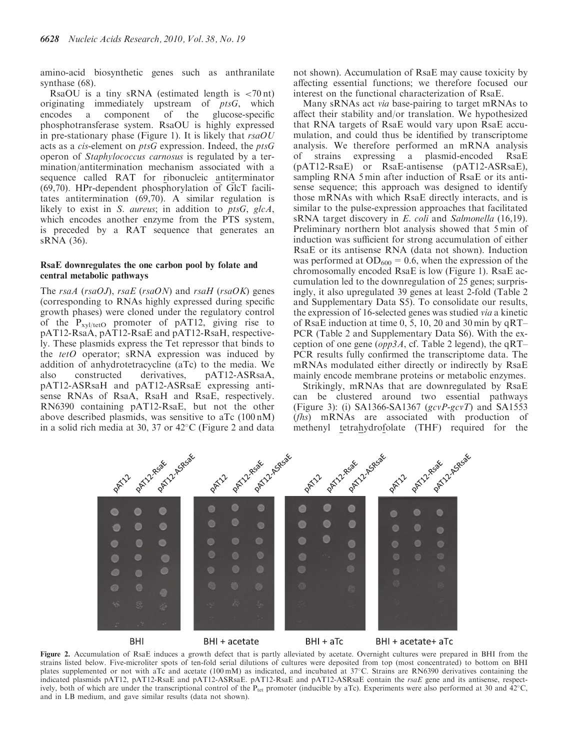amino-acid biosynthetic genes such as anthranilate synthase (68).

RsaOU is a tiny sRNA (estimated length is  $\langle 70 \text{ nt} \rangle$ ) originating immediately upstream of  $ptsG$ , which encodes a component of the glucose-specific phosphotransferase system. RsaOU is highly expressed in pre-stationary phase (Figure 1). It is likely that  $rsaOU$ acts as a cis-element on ptsG expression. Indeed, the ptsG operon of Staphylococcus carnosus is regulated by a termination/antitermination mechanism associated with a sequence called RAT for ribonucleic antiterminator (69,70). HPr-dependent phosphorylation of GlcT facilitates antitermination (69,70). A similar regulation is likely to exist in S. aureus; in addition to ptsG, glcA, which encodes another enzyme from the PTS system, is preceded by a RAT sequence that generates an sRNA (36).

### RsaE downregulates the one carbon pool by folate and central metabolic pathways

The rsaA (rsaOJ), rsaE (rsaON) and rsaH (rsaOK) genes (corresponding to RNAs highly expressed during specific growth phases) were cloned under the regulatory control of the  $P_{xyl/tetO}$  promoter of pAT12, giving rise to pAT12-RsaA, pAT12-RsaE and pAT12-RsaH, respectively. These plasmids express the Tet repressor that binds to the tetO operator; sRNA expression was induced by addition of anhydrotetracycline (aTc) to the media. We also constructed derivatives, pAT12-ASRsaA, pAT12-ASRsaH and pAT12-ASRsaE expressing antisense RNAs of RsaA, RsaH and RsaE, respectively. RN6390 containing pAT12-RsaE, but not the other above described plasmids, was sensitive to aTc (100 nM) in a solid rich media at 30, 37 or 42°C (Figure 2 and data

not shown). Accumulation of RsaE may cause toxicity by affecting essential functions; we therefore focused our interest on the functional characterization of RsaE.

Many sRNAs act via base-pairing to target mRNAs to affect their stability and/or translation. We hypothesized that RNA targets of RsaE would vary upon RsaE accumulation, and could thus be identified by transcriptome analysis. We therefore performed an mRNA analysis of strains expressing a plasmid-encoded RsaE (pAT12-RsaE) or RsaE-antisense (pAT12-ASRsaE), sampling RNA 5 min after induction of RsaE or its antisense sequence; this approach was designed to identify those mRNAs with which RsaE directly interacts, and is similar to the pulse-expression approaches that facilitated sRNA target discovery in E. coli and Salmonella (16,19). Preliminary northern blot analysis showed that 5 min of induction was sufficient for strong accumulation of either RsaE or its antisense RNA (data not shown). Induction was performed at  $OD_{600} = 0.6$ , when the expression of the chromosomally encoded RsaE is low (Figure 1). RsaE accumulation led to the downregulation of 25 genes; surprisingly, it also upregulated 39 genes at least 2-fold (Table 2 and Supplementary Data S5). To consolidate our results, the expression of 16-selected genes was studied via a kinetic of RsaE induction at time 0, 5, 10, 20 and 30 min by qRT– PCR (Table 2 and Supplementary Data S6). With the exception of one gene ( $opp3A$ , cf. Table 2 legend), the qRT– PCR results fully confirmed the transcriptome data. The mRNAs modulated either directly or indirectly by RsaE mainly encode membrane proteins or metabolic enzymes.

Strikingly, mRNAs that are downregulated by RsaE can be clustered around two essential pathways (Figure 3): (i) SA1366-SA1367 ( $gcvP-gcvT$ ) and SA1553 (fhs) mRNAs are associated with production of methenyl tetrahydrofolate (THF) required for the



Figure 2. Accumulation of RsaE induces a growth defect that is partly alleviated by acetate. Overnight cultures were prepared in BHI from the strains listed below. Five-microliter spots of ten-fold serial dilutions of cultures were deposited from top (most concentrated) to bottom on BHI plates supplemented or not with aTc and acetate (100 mM) as indicated, and incubated at 37°C. Strains are RN6390 derivatives containing the indicated plasmids pAT12, pAT12-RsaE and pAT12-ASRsaE. pAT12-RsaE and pAT12-ASRsaE contain the rsaE gene and its antisense, respectively, both of which are under the transcriptional control of the  $P_{\text{tet}}$  promoter (inducible by aTc). Experiments were also performed at 30 and  $42^{\circ}$ C, and in LB medium, and gave similar results (data not shown).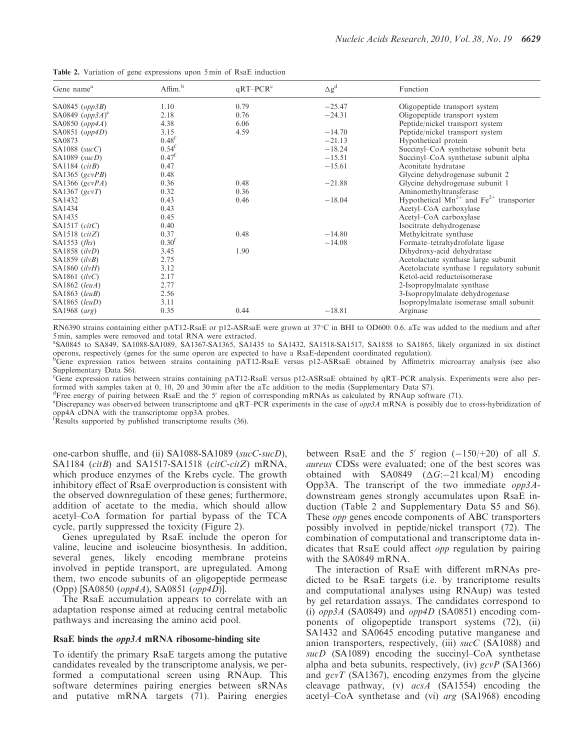| Table 2. Variation of gene expressions upon 5 min of RsaE induction |  |
|---------------------------------------------------------------------|--|
|---------------------------------------------------------------------|--|

| Gene name <sup>a</sup>        | Affim. <sup>b</sup> | $qRT-PCRc$ | $\Delta g^d$ | Function                                         |
|-------------------------------|---------------------|------------|--------------|--------------------------------------------------|
| SA0845 $(opp3B)$              | 1.10                | 0.79       | $-25.47$     | Oligopeptide transport system                    |
| SA0849 $(opp3A)$ <sup>e</sup> | 2.18                | 0.76       | $-24.31$     | Oligopeptide transport system                    |
| SA0850 $(opp4A)$              | 4.38                | 6.06       |              | Peptide/nickel transport system                  |
| SA0851 $(opp4D)$              | 3.15                | 4.59       | $-14.70$     | Peptide/nickel transport system                  |
| SA0873                        | 0.48 <sup>f</sup>   |            | $-21.13$     | Hypothetical protein                             |
| SA1088 $(sucC)$               | 0.54 <sup>f</sup>   |            | $-18.24$     | Succinyl-CoA synthetase subunit beta             |
| $SA1089$ (sucD)               | $0.47^{\rm f}$      |            | $-15.51$     | Succinyl-CoA synthetase subunit alpha            |
| SA1184 $(citB)$               | 0.47                |            | $-15.61$     | Aconitate hydratase                              |
| SA1365 (gcvPB)                | 0.48                |            |              | Glycine dehydrogenase subunit 2                  |
| SA1366 $(gcvPA)$              | 0.36                | 0.48       | $-21.88$     | Glycine dehydrogenase subunit 1                  |
| SA1367 $(gcvT)$               | 0.32                | 0.36       |              | Aminomethyltransferase                           |
| SA1432                        | 0.43                | 0.46       | $-18.04$     | Hypothetical $Mn^{2+}$ and $Fe^{2+}$ transporter |
| SA1434                        | 0.43                |            |              | Acetyl-CoA carboxylase                           |
| SA1435                        | 0.45                |            |              | Acetyl-CoA carboxylase                           |
| SA1517 (citC)                 | 0.40                |            |              | Isocitrate dehydrogenase                         |
| SA1518 $(citZ)$               | 0.37                | 0.48       | $-14.80$     | Methylcitrate synthase                           |
| SA1553 $(fhs)$                | 0.30 <sup>f</sup>   |            | $-14.08$     | Formate-tetrahydrofolate ligase                  |
| SA1858 (ilvD)                 | 3.45                | 1.90       |              | Dihydroxy-acid dehydratase                       |
| SA1859 $(ilvB)$               | 2.75                |            |              | Acetolactate synthase large subunit              |
| SA1860 $(iivH)$               | 3.12                |            |              | Acetolactate synthase 1 regulatory subunit       |
| SA1861 $(iivC)$               | 2.17                |            |              | Ketol-acid reductoisomerase                      |
| SA1862 (leuA)                 | 2.77                |            |              | 2-Isopropylmalate synthase                       |
| $SA1863$ (leuB)               | 2.56                |            |              | 3-Isopropylmalate dehydrogenase                  |
| $SA1865$ (leuD)               | 3.11                |            |              | Isopropylmalate isomerase small subunit          |
| SA1968 (arg)                  | 0.35                | 0.44       | $-18.81$     | Arginase                                         |

RN6390 strains containing either pAT12-RsaE or p12-ASRsaE were grown at 37°C in BHI to OD600: 0.6. aTc was added to the medium and after 5 min, samples were removed and total RNA were extracted.

a SA0845 to SA849, SA1088-SA1089, SA1367-SA1365, SA1435 to SA1432, SA1518-SA1517, SA1858 to SA1865, likely organized in six distinct operons, respectively (genes for the same operon are expected to have a RsaE-dependent coordinated regulation).

<sup>b</sup>Gene expression ratios between strains containing pAT12-RsaE versus p12-ASRsaE obtained by Affimetrix microarray analysis (see also Supplementary Data S6).

<sup>e</sup>Gene expression ratios between strains containing pAT12-RsaE versus p12-ASRsaE obtained by qRT–PCR analysis. Experiments were also performed with samples taken at 0, 10, 20 and 30 min after the aTc addition to the media (Supplementary Data S7).

<sup>d</sup> Free energy of pairing between RsaE and the 5' region of corresponding mRNAs as calculated by RNAup software (71).

<sup>e</sup>Discrepancy was observed between transcriptome and qRT–PCR experiments in the case of  $opp3A$  mRNA is possibly due to cross-hybridization of opp4A cDNA with the transcriptome opp3A probes.

f Results supported by published transcriptome results (36).

one-carbon shuffle, and (ii) SA1088-SA1089 (sucC-sucD), SA1184 (citB) and SA1517-SA1518 (citC-citZ) mRNA, which produce enzymes of the Krebs cycle. The growth inhibitory effect of RsaE overproduction is consistent with the observed downregulation of these genes; furthermore, addition of acetate to the media, which should allow acetyl–CoA formation for partial bypass of the TCA cycle, partly suppressed the toxicity (Figure 2).

Genes upregulated by RsaE include the operon for valine, leucine and isoleucine biosynthesis. In addition, several genes, likely encoding membrane proteins involved in peptide transport, are upregulated. Among them, two encode subunits of an oligopeptide permease (Opp) [SA0850 (opp4A), SA0851 (opp4D)].

The RsaE accumulation appears to correlate with an adaptation response aimed at reducing central metabolic pathways and increasing the amino acid pool.

#### RsaE binds the opp3A mRNA ribosome-binding site

To identify the primary RsaE targets among the putative candidates revealed by the transcriptome analysis, we performed a computational screen using RNAup. This software determines pairing energies between sRNAs and putative mRNA targets (71). Pairing energies between RsaE and the 5' region  $(-150/+20)$  of all S. aureus CDSs were evaluated; one of the best scores was obtained with SA0849  $(\Delta G: -21 \text{ kcal/M})$  encoding Opp3A. The transcript of the two immediate  $opp3A$ downstream genes strongly accumulates upon RsaE induction (Table 2 and Supplementary Data S5 and S6). These opp genes encode components of ABC transporters possibly involved in peptide/nickel transport (72). The combination of computational and transcriptome data indicates that RsaE could affect opp regulation by pairing with the SA0849 mRNA.

The interaction of RsaE with different mRNAs predicted to be RsaE targets (i.e. by trancriptome results and computational analyses using RNAup) was tested by gel retardation assays. The candidates correspond to (i)  $opp3A$  (SA0849) and  $opp4D$  (SA0851) encoding components of oligopeptide transport systems (72), (ii) SA1432 and SA0645 encoding putative manganese and anion transporters, respectively, (iii) sucC (SA1088) and sucD (SA1089) encoding the succinyl-CoA synthetase alpha and beta subunits, respectively, (iv)  $gcvP$  (SA1366) and gcvT (SA1367), encoding enzymes from the glycine cleavage pathway, (v) acsA (SA1554) encoding the acetyl–CoA synthetase and (vi) arg (SA1968) encoding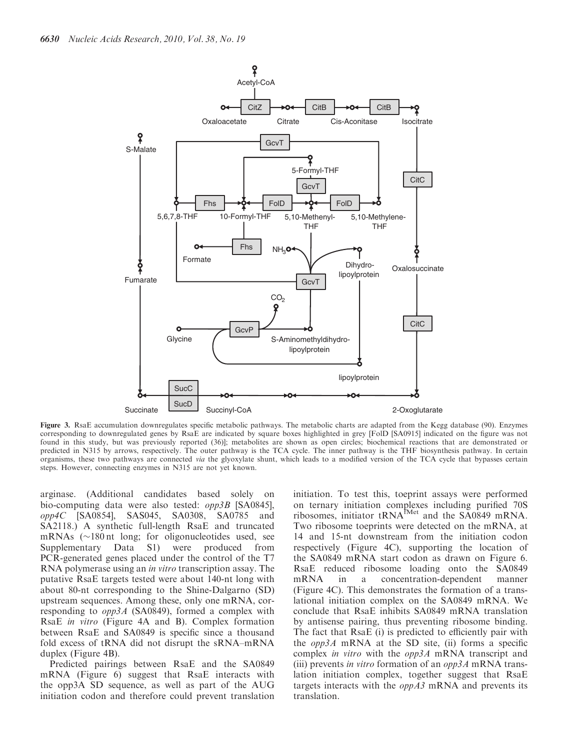

Figure 3. RsaE accumulation downregulates specific metabolic pathways. The metabolic charts are adapted from the Kegg database (90). Enzymes corresponding to downregulated genes by RsaE are indicated by square boxes highlighted in grey [FolD [SA0915] indicated on the figure was not found in this study, but was previously reported (36)]; metabolites are shown as open circles; biochemical reactions that are demonstrated or predicted in N315 by arrows, respectively. The outer pathway is the TCA cycle. The inner pathway is the THF biosynthesis pathway. In certain organisms, these two pathways are connected via the glyoxylate shunt, which leads to a modified version of the TCA cycle that bypasses certain steps. However, connecting enzymes in N315 are not yet known.

arginase. (Additional candidates based solely on bio-computing data were also tested: opp3B [SA0845], opp4C [SA0854], SAS045, SA0308, SA0785 and SA2118.) A synthetic full-length RsaE and truncated mRNAs  $(\sim 180 \text{ nt}$  long; for oligonucleotides used, see Supplementary Data S1) were produced from PCR-generated genes placed under the control of the T7 RNA polymerase using an in vitro transcription assay. The putative RsaE targets tested were about 140-nt long with about 80-nt corresponding to the Shine-Dalgarno (SD) upstream sequences. Among these, only one mRNA, corresponding to opp3A (SA0849), formed a complex with RsaE in vitro (Figure 4A and B). Complex formation between RsaE and SA0849 is specific since a thousand fold excess of tRNA did not disrupt the sRNA–mRNA duplex (Figure 4B).

Predicted pairings between RsaE and the SA0849 mRNA (Figure 6) suggest that RsaE interacts with the opp3A SD sequence, as well as part of the AUG initiation codon and therefore could prevent translation

initiation. To test this, toeprint assays were performed on ternary initiation complexes including purified 70S ribosomes, initiator  $tRNA^{fMet}$  and the SA0849 mRNA. Two ribosome toeprints were detected on the mRNA, at 14 and 15-nt downstream from the initiation codon respectively (Figure 4C), supporting the location of the SA0849 mRNA start codon as drawn on Figure 6. RsaE reduced ribosome loading onto the SA0849 mRNA in a concentration-dependent manner (Figure 4C). This demonstrates the formation of a translational initiation complex on the SA0849 mRNA. We conclude that RsaE inhibits SA0849 mRNA translation by antisense pairing, thus preventing ribosome binding. The fact that RsaE (i) is predicted to efficiently pair with the  $opp3A$  mRNA at the SD site, (ii) forms a specific complex in vitro with the opp3A mRNA transcript and (iii) prevents *in vitro* formation of an  $opp3A$  mRNA translation initiation complex, together suggest that RsaE targets interacts with the  $oppA3$  mRNA and prevents its translation.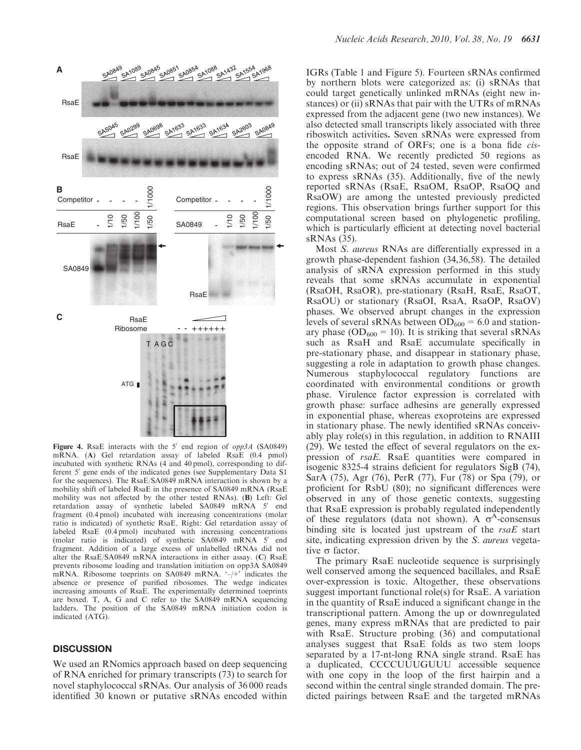

Figure 4. RsaE interacts with the 5' end region of  $opp3A$  (SA0849) mRNA. (A) Gel retardation assay of labeled RsaE (0.4 pmol) incubated with synthetic RNAs (4 and 40 pmol), corresponding to different 5' gene ends of the indicated genes (see Supplementary Data S1 for the sequences). The RsaE/SA0849 mRNA interaction is shown by a mobility shift of labeled RsaE in the presence of SA0849 mRNA (RsaE mobility was not affected by the other tested RNAs). (B) Left: Gel retardation assay of synthetic labeled SA0849 mRNA 5' end fragment (0.4 pmol) incubated with increasing concentrations (molar ratio is indicated) of synthetic RsaE. Right: Gel retardation assay of labeled RsaE (0.4 pmol) incubated with increasing concentrations (molar ratio is indicated) of synthetic  $SA0849$  mRNA  $5'$  end fragment. Addition of a large excess of unlabelled tRNAs did not alter the RsaE/SA0849 mRNA interactions in either assay. (C) RsaE prevents ribosome loading and translation initiation on opp3A SA0849 mRNA. Ribosome toeprints on SA0849 mRNA. '–/+' indicates the absence or presence of purified ribosomes. The wedge indicates increasing amounts of RsaE. The experimentally determined toeprints are boxed. T, A, G and C refer to the SA0849 mRNA sequencing ladders. The position of the SA0849 mRNA initiation codon is indicated (ATG).

#### **DISCUSSION**

We used an RNomics approach based on deep sequencing of RNA enriched for primary transcripts (73) to search for novel staphylococcal sRNAs. Our analysis of 36 000 reads identified 30 known or putative sRNAs encoded within

IGRs (Table 1 and Figure 5). Fourteen sRNAs confirmed by northern blots were categorized as: (i) sRNAs that could target genetically unlinked mRNAs (eight new instances) or (ii) sRNAs that pair with the UTRs of mRNAs expressed from the adjacent gene (two new instances). We also detected small transcripts likely associated with three riboswitch activities. Seven sRNAs were expressed from the opposite strand of ORFs; one is a bona fide cisencoded RNA. We recently predicted 50 regions as encoding sRNAs; out of 24 tested, seven were confirmed to express sRNAs (35). Additionally, five of the newly reported sRNAs (RsaE, RsaOM, RsaOP, RsaOQ and RsaOW) are among the untested previously predicted regions. This observation brings further support for this computational screen based on phylogenetic profiling, which is particularly efficient at detecting novel bacterial sRNAs (35).

Most S. aureus RNAs are differentially expressed in a growth phase-dependent fashion (34,36,58). The detailed analysis of sRNA expression performed in this study reveals that some sRNAs accumulate in exponential (RsaOH, RsaOR), pre-stationary (RsaH, RsaE, RsaOT, RsaOU) or stationary (RsaOI, RsaA, RsaOP, RsaOV) phases. We observed abrupt changes in the expression levels of several sRNAs between  $OD_{600} = 6.0$  and stationary phase ( $OD_{600} = 10$ ). It is striking that several sRNAs such as RsaH and RsaE accumulate specifically in pre-stationary phase, and disappear in stationary phase, suggesting a role in adaptation to growth phase changes. Numerous staphylococcal regulatory functions are coordinated with environmental conditions or growth phase. Virulence factor expression is correlated with growth phase: surface adhesins are generally expressed in exponential phase, whereas exoproteins are expressed in stationary phase. The newly identified sRNAs conceivably play role(s) in this regulation, in addition to RNAIII (29). We tested the effect of several regulators on the expression of rsaE. RsaE quantities were compared in isogenic 8325-4 strains deficient for regulators SigB (74), SarA (75), Agr (76), PerR (77), Fur (78) or Spa (79), or proficient for RsbU (80); no significant differences were observed in any of those genetic contexts, suggesting that RsaE expression is probably regulated independently of these regulators (data not shown). A  $\sigma^A$ -consensus binding site is located just upstream of the  $rsaE$  start site, indicating expression driven by the S. aureus vegetative  $\sigma$  factor.

The primary RsaE nucleotide sequence is surprisingly well conserved among the sequenced bacillales, and RsaE over-expression is toxic. Altogether, these observations suggest important functional role(s) for RsaE. A variation in the quantity of RsaE induced a significant change in the transcriptional pattern. Among the up or downregulated genes, many express mRNAs that are predicted to pair with RsaE. Structure probing (36) and computational analyses suggest that RsaE folds as two stem loops separated by a 17-nt-long RNA single strand. RsaE has a duplicated, CCCCUUUGUUU accessible sequence with one copy in the loop of the first hairpin and a second within the central single stranded domain. The predicted pairings between RsaE and the targeted mRNAs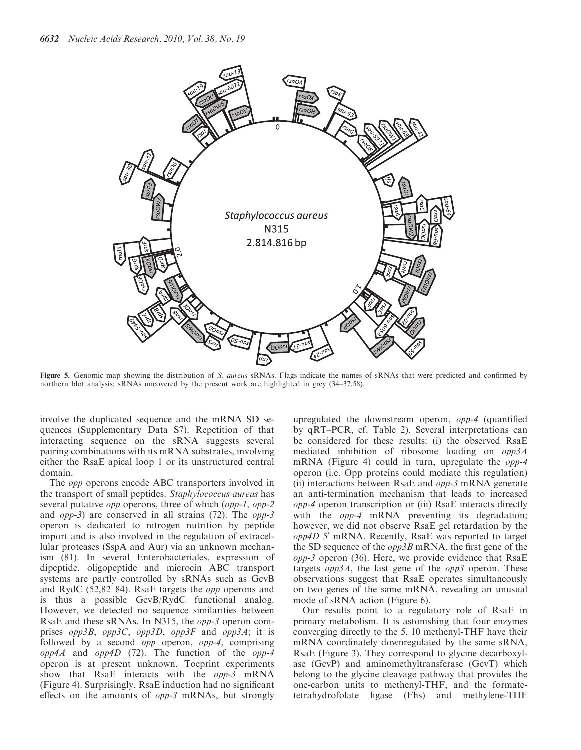

Figure 5. Genomic map showing the distribution of S. aureus sRNAs. Flags indicate the names of sRNAs that were predicted and confirmed by northern blot analysis; sRNAs uncovered by the present work are highlighted in grey (34–37,58).

involve the duplicated sequence and the mRNA SD sequences (Supplementary Data S7). Repetition of that interacting sequence on the sRNA suggests several pairing combinations with its mRNA substrates, involving either the RsaE apical loop 1 or its unstructured central domain.

The opp operons encode ABC transporters involved in the transport of small peptides. Staphylococcus aureus has several putative opp operons, three of which (opp-1, opp-2 and opp-3) are conserved in all strains (72). The opp-3 operon is dedicated to nitrogen nutrition by peptide import and is also involved in the regulation of extracellular proteases (SspA and Aur) via an unknown mechanism (81). In several Enterobacteriales, expression of dipeptide, oligopeptide and microcin ABC transport systems are partly controlled by sRNAs such as GcvB and RydC (52,82–84). RsaE targets the opp operons and is thus a possible GcvB/RydC functional analog. However, we detected no sequence similarities between RsaE and these sRNAs. In N315, the opp-3 operon comprises opp3B, opp3C, opp3D, opp3F and opp3A; it is followed by a second opp operon, opp-4, comprising opp4A and opp4D (72). The function of the opp-4 operon is at present unknown. Toeprint experiments show that RsaE interacts with the *opp-3* mRNA (Figure 4). Surprisingly, RsaE induction had no significant effects on the amounts of opp-3 mRNAs, but strongly

upregulated the downstream operon, opp-4 (quantified by qRT–PCR, cf. Table 2). Several interpretations can be considered for these results: (i) the observed RsaE mediated inhibition of ribosome loading on opp3A mRNA (Figure 4) could in turn, upregulate the opp-4 operon (i.e. Opp proteins could mediate this regulation) (ii) interactions between RsaE and  $opp-3$  mRNA generate an anti-termination mechanism that leads to increased opp-4 operon transcription or (iii) RsaE interacts directly with the *opp-4* mRNA preventing its degradation; however, we did not observe RsaE gel retardation by the  $opp4D$  5' mRNA. Recently, RsaE was reported to target the SD sequence of the *opp3B* mRNA, the first gene of the opp-3 operon (36). Here, we provide evidence that RsaE targets  $opp3A$ , the last gene of the  $opp3$  operon. These observations suggest that RsaE operates simultaneously on two genes of the same mRNA, revealing an unusual mode of sRNA action (Figure 6).

Our results point to a regulatory role of RsaE in primary metabolism. It is astonishing that four enzymes converging directly to the 5, 10 methenyl-THF have their mRNA coordinately downregulated by the same sRNA, RsaE (Figure 3). They correspond to glycine decarboxylase (GcvP) and aminomethyltransferase (GcvT) which belong to the glycine cleavage pathway that provides the one-carbon units to methenyl-THF, and the formatetetrahydrofolate ligase (Fhs) and methylene-THF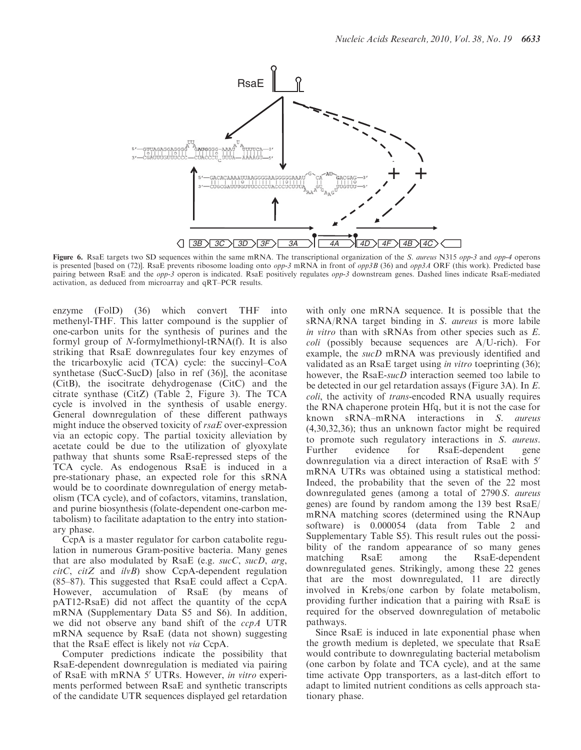

Figure 6. RsaE targets two SD sequences within the same mRNA. The transcriptional organization of the S. aureus N315 opp-3 and opp-4 operons is presented [based on (72)]. RsaE prevents ribosome loading onto  $opp-3$  mRNA in front of  $opp3B$  (36) and  $opp3A$  ORF (this work). Predicted base pairing between RsaE and the *opp-3* operon is indicated. RsaE positively regulates *opp-3* downstream genes. Dashed lines indicate RsaE-mediated activation, as deduced from microarray and qRT–PCR results.

enzyme (FolD) (36) which convert THF into methenyl-THF. This latter compound is the supplier of one-carbon units for the synthesis of purines and the formyl group of N-formylmethionyl-tRNA(f). It is also striking that RsaE downregulates four key enzymes of the tricarboxylic acid (TCA) cycle: the succinyl–CoA synthetase (SucC-SucD) [also in ref (36)], the aconitase (CitB), the isocitrate dehydrogenase (CitC) and the citrate synthase (CitZ) (Table 2, Figure 3). The TCA cycle is involved in the synthesis of usable energy. General downregulation of these different pathways might induce the observed toxicity of rsaE over-expression via an ectopic copy. The partial toxicity alleviation by acetate could be due to the utilization of glyoxylate pathway that shunts some RsaE-repressed steps of the TCA cycle. As endogenous RsaE is induced in a pre-stationary phase, an expected role for this sRNA would be to coordinate downregulation of energy metabolism (TCA cycle), and of cofactors, vitamins, translation, and purine biosynthesis (folate-dependent one-carbon metabolism) to facilitate adaptation to the entry into stationary phase.

CcpA is a master regulator for carbon catabolite regulation in numerous Gram-positive bacteria. Many genes that are also modulated by RsaE (e.g. sucC, sucD, arg,  $citC, citZ$  and  $ilvB$ ) show CcpA-dependent regulation (85–87). This suggested that RsaE could affect a CcpA. However, accumulation of RsaE (by means of pAT12-RsaE) did not affect the quantity of the ccpA mRNA (Supplementary Data S5 and S6). In addition, we did not observe any band shift of the ccpA UTR mRNA sequence by RsaE (data not shown) suggesting that the RsaE effect is likely not via CcpA.

Computer predictions indicate the possibility that RsaE-dependent downregulation is mediated via pairing of RsaE with mRNA 5' UTRs. However, in vitro experiments performed between RsaE and synthetic transcripts of the candidate UTR sequences displayed gel retardation with only one mRNA sequence. It is possible that the sRNA/RNA target binding in S. aureus is more labile in vitro than with sRNAs from other species such as E. coli (possibly because sequences are A/U-rich). For example, the *sucD* mRNA was previously identified and validated as an RsaE target using in vitro toeprinting (36); however, the RsaE-sucD interaction seemed too labile to be detected in our gel retardation assays (Figure 3A). In E. coli, the activity of trans-encoded RNA usually requires the RNA chaperone protein Hfq, but it is not the case for known sRNA–mRNA interactions in S. aureus (4,30,32,36); thus an unknown factor might be required to promote such regulatory interactions in S. aureus. Further evidence for RsaE-dependent gene downregulation via a direct interaction of RsaE with 5' mRNA UTRs was obtained using a statistical method: Indeed, the probability that the seven of the 22 most downregulated genes (among a total of 2790 S. aureus genes) are found by random among the 139 best RsaE/ mRNA matching scores (determined using the RNAup software) is 0.000054 (data from Table 2 and Supplementary Table S5). This result rules out the possibility of the random appearance of so many genes matching RsaE among the RsaE-dependent downregulated genes. Strikingly, among these 22 genes that are the most downregulated, 11 are directly involved in Krebs/one carbon by folate metabolism, providing further indication that a pairing with RsaE is required for the observed downregulation of metabolic pathways.

Since RsaE is induced in late exponential phase when the growth medium is depleted, we speculate that RsaE would contribute to downregulating bacterial metabolism (one carbon by folate and TCA cycle), and at the same time activate Opp transporters, as a last-ditch effort to adapt to limited nutrient conditions as cells approach stationary phase.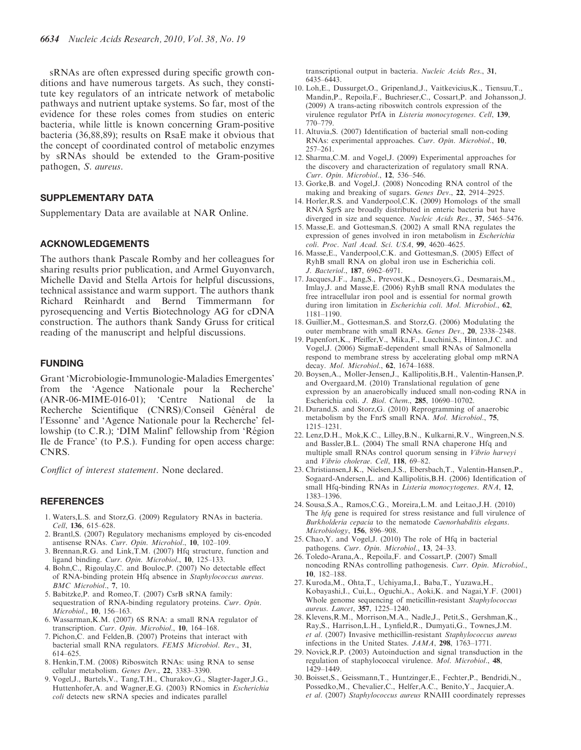sRNAs are often expressed during specific growth conditions and have numerous targets. As such, they constitute key regulators of an intricate network of metabolic pathways and nutrient uptake systems. So far, most of the evidence for these roles comes from studies on enteric bacteria, while little is known concerning Gram-positive bacteria (36,88,89); results on RsaE make it obvious that the concept of coordinated control of metabolic enzymes by sRNAs should be extended to the Gram-positive pathogen, S. aureus.

# SUPPLEMENTARY DATA

Supplementary Data are available at NAR Online.

# ACKNOWLEDGEMENTS

The authors thank Pascale Romby and her colleagues for sharing results prior publication, and Armel Guyonvarch, Michelle David and Stella Artois for helpful discussions, technical assistance and warm support. The authors thank Richard Reinhardt and Bernd Timmermann for pyrosequencing and Vertis Biotechnology AG for cDNA construction. The authors thank Sandy Gruss for critical reading of the manuscript and helpful discussions.

## FUNDING

Grant 'Microbiologie-Immunologie-Maladies Emergentes' from the 'Agence Nationale pour la Recherche' (ANR-06-MIME-016-01); 'Centre National de la Recherche Scientifique (CNRS)/Conseil Général de l'Essonne' and 'Agence Nationale pour la Recherche' fellowship (to C.R.); 'DIM Malinf' fellowship from 'Région Ile de France' (to P.S.). Funding for open access charge: CNRS.

Conflict of interest statement. None declared.

#### REFERENCES

- 1. Waters,L.S. and Storz,G. (2009) Regulatory RNAs in bacteria. Cell, 136, 615–628.
- 2. Brantl,S. (2007) Regulatory mechanisms employed by cis-encoded antisense RNAs. Curr. Opin. Microbiol., 10, 102–109.
- 3. Brennan,R.G. and Link,T.M. (2007) Hfq structure, function and ligand binding. Curr. Opin. Microbiol., 10, 125–133.
- 4. Bohn,C., Rigoulay,C. and Bouloc,P. (2007) No detectable effect of RNA-binding protein Hfq absence in Staphylococcus aureus. BMC Microbiol., 7, 10.
- 5. Babitzke,P. and Romeo,T. (2007) CsrB sRNA family: sequestration of RNA-binding regulatory proteins. Curr. Opin. Microbiol., 10, 156–163.
- 6. Wassarman,K.M. (2007) 6S RNA: a small RNA regulator of transcription. Curr. Opin. Microbiol., 10, 164–168.
- 7. Pichon,C. and Felden,B. (2007) Proteins that interact with bacterial small RNA regulators. FEMS Microbiol. Rev., 31, 614–625.
- 8. Henkin,T.M. (2008) Riboswitch RNAs: using RNA to sense cellular metabolism. Genes Dev., 22, 3383–3390.
- 9. Vogel,J., Bartels,V., Tang,T.H., Churakov,G., Slagter-Jager,J.G., Huttenhofer,A. and Wagner,E.G. (2003) RNomics in Escherichia coli detects new sRNA species and indicates parallel

transcriptional output in bacteria. Nucleic Acids Res., 31, 6435–6443.

- 10. Loh,E., Dussurget,O., Gripenland,J., Vaitkevicius,K., Tiensuu,T., Mandin,P., Repoila,F., Buchrieser,C., Cossart,P. and Johansson,J. (2009) A trans-acting riboswitch controls expression of the virulence regulator PrfA in Listeria monocytogenes. Cell, 139, 770–779.
- 11. Altuvia,S. (2007) Identification of bacterial small non-coding RNAs: experimental approaches. Curr. Opin. Microbiol., 10, 257–261.
- 12. Sharma,C.M. and Vogel,J. (2009) Experimental approaches for the discovery and characterization of regulatory small RNA. Curr. Opin. Microbiol., 12, 536–546.
- 13. Gorke,B. and Vogel,J. (2008) Noncoding RNA control of the making and breaking of sugars. Genes Dev., 22, 2914–2925.
- 14. Horler,R.S. and Vanderpool,C.K. (2009) Homologs of the small RNA SgrS are broadly distributed in enteric bacteria but have diverged in size and sequence. Nucleic Acids Res., 37, 5465–5476.
- 15. Masse,E. and Gottesman,S. (2002) A small RNA regulates the expression of genes involved in iron metabolism in Escherichia coli. Proc. Natl Acad. Sci. USA, 99, 4620–4625.
- 16. Masse,E., Vanderpool,C.K. and Gottesman,S. (2005) Effect of RyhB small RNA on global iron use in Escherichia coli. J. Bacteriol., 187, 6962–6971.
- 17. Jacques,J.F., Jang,S., Prevost,K., Desnoyers,G., Desmarais,M., Imlay,J. and Masse,E. (2006) RyhB small RNA modulates the free intracellular iron pool and is essential for normal growth during iron limitation in Escherichia coli. Mol. Microbiol., 62, 1181–1190.
- 18. Guillier,M., Gottesman,S. and Storz,G. (2006) Modulating the outer membrane with small RNAs. Genes Dev., 20, 2338–2348.
- 19. Papenfort,K., Pfeiffer,V., Mika,F., Lucchini,S., Hinton,J.C. and Vogel,J. (2006) SigmaE-dependent small RNAs of Salmonella respond to membrane stress by accelerating global omp mRNA decay. Mol. Microbiol., 62, 1674–1688.
- 20. Boysen,A., Moller-Jensen,J., Kallipolitis,B.H., Valentin-Hansen,P. and Overgaard,M. (2010) Translational regulation of gene expression by an anaerobically induced small non-coding RNA in Escherichia coli. J. Biol. Chem., 285, 10690–10702.
- 21. Durand,S. and Storz,G. (2010) Reprogramming of anaerobic metabolism by the FnrS small RNA. Mol. Microbiol., 75, 1215–1231.
- 22. Lenz,D.H., Mok,K.C., Lilley,B.N., Kulkarni,R.V., Wingreen,N.S. and Bassler,B.L. (2004) The small RNA chaperone Hfq and multiple small RNAs control quorum sensing in Vibrio harveyi and Vibrio cholerae. Cell, 118, 69-82.
- 23. Christiansen,J.K., Nielsen,J.S., Ebersbach,T., Valentin-Hansen,P., Sogaard-Andersen,L. and Kallipolitis,B.H. (2006) Identification of small Hfq-binding RNAs in *Listeria monocytogenes*. RNA, 12, 1383–1396.
- 24. Sousa,S.A., Ramos,C.G., Moreira,L.M. and Leitao,J.H. (2010) The hfq gene is required for stress resistance and full virulence of Burkholderia cepacia to the nematode Caenorhabditis elegans. Microbiology, 156, 896–908.
- 25. Chao,Y. and Vogel,J. (2010) The role of Hfq in bacterial pathogens. Curr. Opin. Microbiol., 13, 24–33.
- 26. Toledo-Arana,A., Repoila,F. and Cossart,P. (2007) Small noncoding RNAs controlling pathogenesis. Curr. Opin. Microbiol., 10, 182–188.
- 27. Kuroda,M., Ohta,T., Uchiyama,I., Baba,T., Yuzawa,H., Kobayashi,I., Cui,L., Oguchi,A., Aoki,K. and Nagai,Y.F. (2001) Whole genome sequencing of meticillin-resistant Staphylococcus aureus. Lancet, 357, 1225–1240.
- 28. Klevens,R.M., Morrison,M.A., Nadle,J., Petit,S., Gershman,K., Ray,S., Harrison,L.H., Lynfield,R., Dumyati,G., Townes,J.M. et al. (2007) Invasive methicillin-resistant Staphylococcus aureus infections in the United States. JAMA, 298, 1763–1771.
- 29. Novick,R.P. (2003) Autoinduction and signal transduction in the regulation of staphylococcal virulence. Mol. Microbiol., 48, 1429–1449.
- 30. Boisset,S., Geissmann,T., Huntzinger,E., Fechter,P., Bendridi,N., Possedko,M., Chevalier,C., Helfer,A.C., Benito,Y., Jacquier,A. et al. (2007) Staphylococcus aureus RNAIII coordinately represses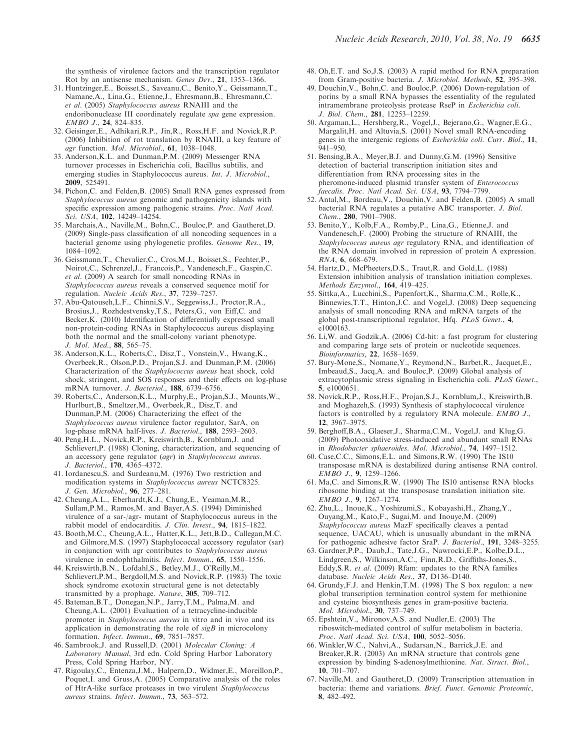the synthesis of virulence factors and the transcription regulator Rot by an antisense mechanism. Genes Dev., 21, 1353–1366.

- 31. Huntzinger,E., Boisset,S., Saveanu,C., Benito,Y., Geissmann,T., Namane,A., Lina,G., Etienne,J., Ehresmann,B., Ehresmann,C. et al. (2005) Staphylococcus aureus RNAIII and the endoribonuclease III coordinately regulate spa gene expression. EMBO J., 24, 824–835.
- 32. Geisinger,E., Adhikari,R.P., Jin,R., Ross,H.F. and Novick,R.P. (2006) Inhibition of rot translation by RNAIII, a key feature of agr function. Mol. Microbiol., 61, 1038–1048.
- 33. Anderson,K.L. and Dunman,P.M. (2009) Messenger RNA turnover processes in Escherichia coli, Bacillus subtilis, and emerging studies in Staphylococcus aureus. Int. J. Microbiol., 2009, 525491.
- 34. Pichon,C. and Felden,B. (2005) Small RNA genes expressed from Staphylococcus aureus genomic and pathogenicity islands with specific expression among pathogenic strains. Proc. Natl Acad. Sci. USA, 102, 14249–14254.
- 35. Marchais,A., Naville,M., Bohn,C., Bouloc,P. and Gautheret,D. (2009) Single-pass classification of all noncoding sequences in a bacterial genome using phylogenetic profiles. Genome Res., 19, 1084–1092.
- 36. Geissmann,T., Chevalier,C., Cros,M.J., Boisset,S., Fechter,P., Noirot,C., Schrenzel,J., Francois,P., Vandenesch,F., Gaspin,C. et al. (2009) A search for small noncoding RNAs in Staphylococcus aureus reveals a conserved sequence motif for regulation. Nucleic Acids Res., 37, 7239–7257.
- 37. Abu-Qatouseh,L.F., Chinni,S.V., Seggewiss,J., Proctor,R.A., Brosius,J., Rozhdestvensky,T.S., Peters,G., von Eiff,C. and Becker,K. (2010) Identification of differentially expressed small non-protein-coding RNAs in Staphylococcus aureus displaying both the normal and the small-colony variant phenotype. J. Mol. Med., 88, 565–75.
- 38. Anderson,K.L., Roberts,C., Disz,T., Vonstein,V., Hwang,K., Overbeek,R., Olson,P.D., Projan,S.J. and Dunman,P.M. (2006) Characterization of the Staphylococcus aureus heat shock, cold shock, stringent, and SOS responses and their effects on log-phase mRNA turnover. J. Bacteriol., 188, 6739–6756.
- 39. Roberts,C., Anderson,K.L., Murphy,E., Projan,S.J., Mounts,W., Hurlburt,B., Smeltzer,M., Overbeek,R., Disz,T. and Dunman,P.M. (2006) Characterizing the effect of the Staphylococcus aureus virulence factor regulator, SarA, on log-phase mRNA half-lives. J. Bacteriol., 188, 2593–2603.
- 40. Peng,H.L., Novick,R.P., Kreiswirth,B., Kornblum,J. and Schlievert,P. (1988) Cloning, characterization, and sequencing of an accessory gene regulator (agr) in Staphylococcus aureus. J. Bacteriol., 170, 4365–4372.
- 41. Iordanescu,S. and Surdeanu,M. (1976) Two restriction and modification systems in Staphylococcus aureus NCTC8325. J. Gen. Microbiol., 96, 277–281.
- 42. Cheung,A.L., Eberhardt,K.J., Chung,E., Yeaman,M.R., Sullam,P.M., Ramos,M. and Bayer,A.S. (1994) Diminished virulence of a sar-/agr- mutant of Staphylococcus aureus in the rabbit model of endocarditis. J. Clin. Invest., 94, 1815–1822.
- 43. Booth,M.C., Cheung,A.L., Hatter,K.L., Jett,B.D., Callegan,M.C. and Gilmore,M.S. (1997) Staphylococcal accessory regulator (sar) in conjunction with agr contributes to Staphylococcus aureus virulence in endophthalmitis. Infect. Immun., 65, 1550–1556.
- 44. Kreiswirth,B.N., Lofdahl,S., Betley,M.J., O'Reilly,M., Schlievert,P.M., Bergdoll,M.S. and Novick,R.P. (1983) The toxic shock syndrome exotoxin structural gene is not detectably transmitted by a prophage. Nature, 305, 709–712.
- 45. Bateman,B.T., Donegan,N.P., Jarry,T.M., Palma,M. and Cheung,A.L. (2001) Evaluation of a tetracycline-inducible promoter in Staphylococcus aureus in vitro and in vivo and its application in demonstrating the role of  $sigB$  in microcolony formation. Infect. Immun., 69, 7851–7857.
- 46. Sambrook,J. and Russell,D. (2001) Molecular Cloning: A Laboratory Manual, 3rd edn. Cold Spring Harbor Laboratory Press, Cold Spring Harbor, NY.
- 47. Rigoulay,C., Entenza,J.M., Halpern,D., Widmer,E., Moreillon,P., Poquet,I. and Gruss,A. (2005) Comparative analysis of the roles of HtrA-like surface proteases in two virulent Staphylococcus aureus strains. Infect. Immun., 73, 563–572.
- 48. Oh,E.T. and So,J.S. (2003) A rapid method for RNA preparation from Gram-positive bacteria. J. Microbiol. Methods, 52, 395–398.
- 49. Douchin,V., Bohn,C. and Bouloc,P. (2006) Down-regulation of porins by a small RNA bypasses the essentiality of the regulated intramembrane proteolysis protease RseP in Escherichia coli. J. Biol. Chem., 281, 12253–12259.
- 50. Argaman,L., Hershberg,R., Vogel,J., Bejerano,G., Wagner,E.G., Margalit,H. and Altuvia,S. (2001) Novel small RNA-encoding genes in the intergenic regions of Escherichia coli. Curr. Biol., 11, 941–950.
- 51. Bensing,B.A., Meyer,B.J. and Dunny,G.M. (1996) Sensitive detection of bacterial transcription initiation sites and differentiation from RNA processing sites in the pheromone-induced plasmid transfer system of Enterococcus faecalis. Proc. Natl Acad. Sci. USA, 93, 7794-7799.
- 52. Antal,M., Bordeau,V., Douchin,V. and Felden,B. (2005) A small bacterial RNA regulates a putative ABC transporter. J. Biol. Chem., 280, 7901–7908.
- 53. Benito,Y., Kolb,F.A., Romby,P., Lina,G., Etienne,J. and Vandenesch,F. (2000) Probing the structure of RNAIII, the Staphylococcus aureus agr regulatory RNA, and identification of the RNA domain involved in repression of protein A expression. RNA, 6, 668–679.
- 54. Hartz,D., McPheeters,D.S., Traut,R. and Gold,L. (1988) Extension inhibition analysis of translation initiation complexes. Methods Enzymol., 164, 419–425.
- 55. Sittka,A., Lucchini,S., Papenfort,K., Sharma,C.M., Rolle,K., Binnewies,T.T., Hinton,J.C. and Vogel,J. (2008) Deep sequencing analysis of small noncoding RNA and mRNA targets of the global post-transcriptional regulator, Hfq. PLoS Genet., 4, e1000163.
- 56. Li,W. and Godzik,A. (2006) Cd-hit: a fast program for clustering and comparing large sets of protein or nucleotide sequences. Bioinformatics, 22, 1658–1659.
- 57. Bury-Mone,S., Nomane,Y., Reymond,N., Barbet,R., Jacquet,E., Imbeaud,S., Jacq,A. and Bouloc,P. (2009) Global analysis of extracytoplasmic stress signaling in Escherichia coli. PLoS Genet., 5, e1000651.
- 58. Novick,R.P., Ross,H.F., Projan,S.J., Kornblum,J., Kreiswirth,B. and Moghazeh,S. (1993) Synthesis of staphylococcal virulence factors is controlled by a regulatory RNA molecule. EMBO J., 12, 3967–3975.
- 59. Berghoff,B.A., Glaeser,J., Sharma,C.M., Vogel,J. and Klug,G. (2009) Photooxidative stress-induced and abundant small RNAs in Rhodobacter sphaeroides. Mol. Microbiol., 74, 1497–1512.
- 60. Case,C.C., Simons,E.L. and Simons,R.W. (1990) The IS10 transposase mRNA is destabilized during antisense RNA control. EMBO J., 9, 1259–1266.
- 61. Ma,C. and Simons,R.W. (1990) The IS10 antisense RNA blocks ribosome binding at the transposase translation initiation site. EMBO J., 9, 1267–1274.
- 62. Zhu,L., Inoue,K., Yoshizumi,S., Kobayashi,H., Zhang,Y., Ouyang,M., Kato,F., Sugai,M. and Inouye,M. (2009) Staphylococcus aureus MazF specifically cleaves a pentad sequence, UACAU, which is unusually abundant in the mRNA for pathogenic adhesive factor SraP. J. Bacteriol., 191, 3248–3255.
- 63. Gardner,P.P., Daub,J., Tate,J.G., Nawrocki,E.P., Kolbe,D.L., Lindgreen,S., Wilkinson,A.C., Finn,R.D., Griffiths-Jones,S., Eddy,S.R. et al. (2009) Rfam: updates to the RNA families database. Nucleic Acids Res., 37, D136–D140.
- 64. Grundy,F.J. and Henkin,T.M. (1998) The S box regulon: a new global transcription termination control system for methionine and cysteine biosynthesis genes in gram-positive bacteria. Mol. Microbiol., 30, 737–749.
- 65. Epshtein,V., Mironov,A.S. and Nudler,E. (2003) The riboswitch-mediated control of sulfur metabolism in bacteria. Proc. Natl Acad. Sci. USA, 100, 5052–5056.
- 66. Winkler,W.C., Nahvi,A., Sudarsan,N., Barrick,J.E. and Breaker,R.R. (2003) An mRNA structure that controls gene expression by binding S-adenosylmethionine. Nat. Struct. Biol.,  $10^{7}$  701–707
- 67. Naville,M. and Gautheret,D. (2009) Transcription attenuation in bacteria: theme and variations. Brief. Funct. Genomic Proteomic, 8, 482–492.